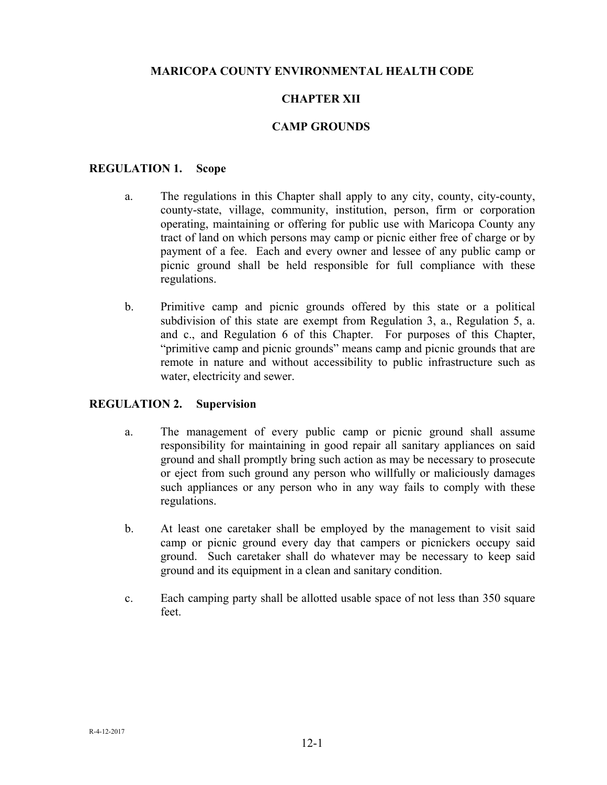## **MARICOPA COUNTY ENVIRONMENTAL HEALTH CODE**

# **CHAPTER XII**

# **CAMP GROUNDS**

#### **REGULATION 1. Scope**

- a. The regulations in this Chapter shall apply to any city, county, city-county, county-state, village, community, institution, person, firm or corporation operating, maintaining or offering for public use with Maricopa County any tract of land on which persons may camp or picnic either free of charge or by payment of a fee. Each and every owner and lessee of any public camp or picnic ground shall be held responsible for full compliance with these regulations.
- b. Primitive camp and picnic grounds offered by this state or a political subdivision of this state are exempt from Regulation 3, a., Regulation 5, a. and c., and Regulation 6 of this Chapter. For purposes of this Chapter, "primitive camp and picnic grounds" means camp and picnic grounds that are remote in nature and without accessibility to public infrastructure such as water, electricity and sewer.

#### **REGULATION 2. Supervision**

- a. The management of every public camp or picnic ground shall assume responsibility for maintaining in good repair all sanitary appliances on said ground and shall promptly bring such action as may be necessary to prosecute or eject from such ground any person who willfully or maliciously damages such appliances or any person who in any way fails to comply with these regulations.
- b. At least one caretaker shall be employed by the management to visit said camp or picnic ground every day that campers or picnickers occupy said ground. Such caretaker shall do whatever may be necessary to keep said ground and its equipment in a clean and sanitary condition.
- c. Each camping party shall be allotted usable space of not less than 350 square feet.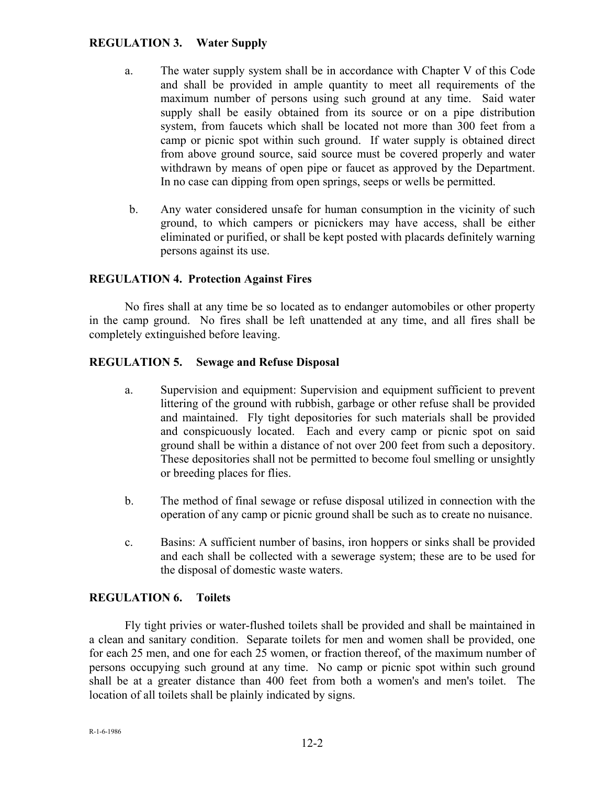# **REGULATION 3. Water Supply**

- a. The water supply system shall be in accordance with Chapter V of this Code and shall be provided in ample quantity to meet all requirements of the maximum number of persons using such ground at any time. Said water supply shall be easily obtained from its source or on a pipe distribution system, from faucets which shall be located not more than 300 feet from a camp or picnic spot within such ground. If water supply is obtained direct from above ground source, said source must be covered properly and water withdrawn by means of open pipe or faucet as approved by the Department. In no case can dipping from open springs, seeps or wells be permitted.
- b. Any water considered unsafe for human consumption in the vicinity of such ground, to which campers or picnickers may have access, shall be either eliminated or purified, or shall be kept posted with placards definitely warning persons against its use.

## **REGULATION 4. Protection Against Fires**

 No fires shall at any time be so located as to endanger automobiles or other property in the camp ground. No fires shall be left unattended at any time, and all fires shall be completely extinguished before leaving.

#### **REGULATION 5. Sewage and Refuse Disposal**

- a. Supervision and equipment: Supervision and equipment sufficient to prevent littering of the ground with rubbish, garbage or other refuse shall be provided and maintained. Fly tight depositories for such materials shall be provided and conspicuously located. Each and every camp or picnic spot on said ground shall be within a distance of not over 200 feet from such a depository. These depositories shall not be permitted to become foul smelling or unsightly or breeding places for flies.
- b. The method of final sewage or refuse disposal utilized in connection with the operation of any camp or picnic ground shall be such as to create no nuisance.
- c. Basins: A sufficient number of basins, iron hoppers or sinks shall be provided and each shall be collected with a sewerage system; these are to be used for the disposal of domestic waste waters.

#### **REGULATION 6. Toilets**

 Fly tight privies or water-flushed toilets shall be provided and shall be maintained in a clean and sanitary condition. Separate toilets for men and women shall be provided, one for each 25 men, and one for each 25 women, or fraction thereof, of the maximum number of persons occupying such ground at any time. No camp or picnic spot within such ground shall be at a greater distance than 400 feet from both a women's and men's toilet. The location of all toilets shall be plainly indicated by signs.